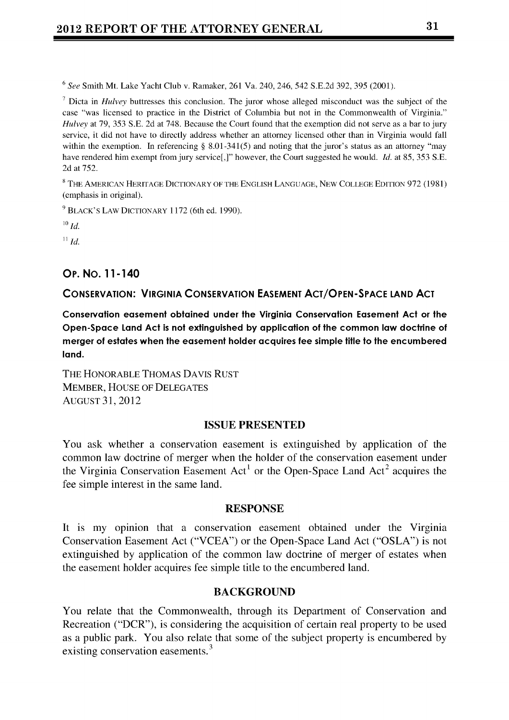<sup>6</sup>*See* Smith Mt. Lake Yacht Club v. Ramaker, 261 Va. 240, 246, 542 S.E.2d 392, 395 (2001).

7 Dicta in *Hulvey* buttresses this conclusion. The juror whose alleged misconduct was the subject of the case "was licensed to practice in the District of Columbia but not in the Commonwealth of Virginia." *Hulvey* at 79, 353 S.E. 2d at 748. Because the Court found that the exemption did not serve as a bar to jury service, it did not have to directly address whether an attorney licensed other than in Virginia would fall within the exemption. In referencing **§** 8.01-341(5) and noting that the juror's status as an attorney "may have rendered him exempt from jury service[,]" however, the Court suggested he would. *Id.* at 85, 353 S.E. 2d at 752.

<sup>8</sup>**THi** AMERICAN HERITAGE DICTIONARY OF THE ENGLISH LANGUAGE, NEW COLLEGE EDITION 972 (1981) (emphasis in original).

**9** BLACK'S LAW DICTIONARY 1172 (6th ed. 1990).

*<sup>10</sup> 1Id.*

*11 Id.*

# **Op. No. 11-140**

## **CONSERVATION: VIRGINIA CONSERVATION EASEMENT ACT/OPEN-SPACE LAND ACT**

**Conservation easement obtained under the Virginia Conservation Easement Act or the Open-Space Land Act is not extinguished by application of the common law doctrine of merger of estates when the easement holder acquires fee simple title to the encumbered land.**

THE HONORABLE THOMAS DAVIS RUST MEMBER, HOUSE OF DELEGATES AUGUST 31, 2012

## **ISSUE PRESENTED**

You ask whether a conservation easement is extinguished by application of the common law doctrine of merger when the holder of the conservation easement under the Virginia Conservation Easement  $Act<sup>1</sup>$  or the Open-Space Land  $Act<sup>2</sup>$  acquires the fee simple interest in the same land.

#### **RESPONSE**

It is my opinion that a conservation easement obtained under the Virginia Conservation Easement Act ("VCEA") or the Open-Space Land Act ("OSLA") is not extinguished by application of the common law doctrine of merger of estates when the easement holder acquires fee simple title to the encumbered land.

## **BACKGROUND**

You relate that the Commonwealth, through its Department of Conservation and Recreation ("DCR"), is considering the acquisition of certain real property to be used as a public park. You also relate that some of the subject property is encumbered by existing conservation easements.<sup>3</sup>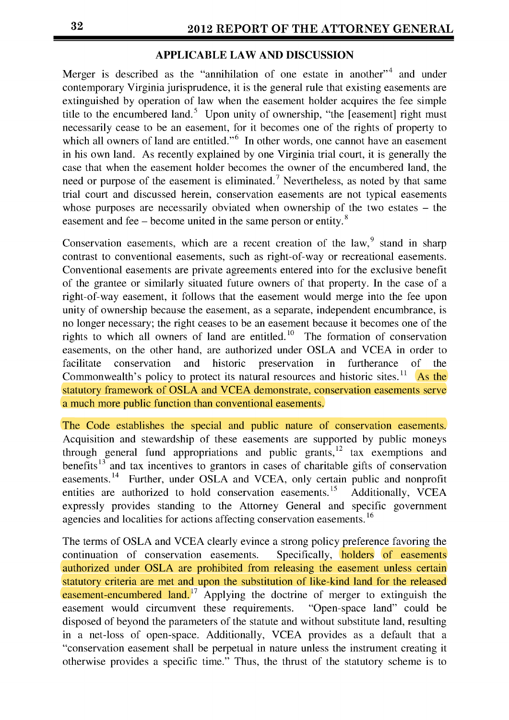# **APPLICABLE LAW AND DISCUSSION**

Merger is described as the "annihilation of one estate in another" and under contemporary Virginia jurisprudence, it is the general rule that existing easements are extinguished by operation of law when the easement holder acquires the fee simple title to the encumbered land.<sup>5</sup> Upon unity of ownership, "the [easement] right must necessarily cease to be an easement, for it becomes one of the rights of property to which all owners of land are entitled." $\frac{6}{10}$  In other words, one cannot have an easement in his own land. As recently explained by one Virginia trial court, it is generally the case that when the easement holder becomes the owner of the encumbered land, the need or purpose of the easement is eliminated.<sup>7</sup> Nevertheless, as noted by that same trial court and discussed herein, conservation easements are not typical easements whose purposes are necessarily obviated when ownership of the two estates – the easement and fee - become united in the same person or entity. **<sup>8</sup>**

Conservation easements, which are a recent creation of the  $law$ , stand in sharp contrast to conventional easements, such as right-of-way or recreational easements. Conventional easements are private agreements entered into for the exclusive benefit of the grantee or similarly situated future owners of that property. In the case of a right-of-way easement, it follows that the easement would merge into the fee upon unity of ownership because the easement, as a separate, independent encumbrance, is no longer necessary; the right ceases to be an easement because it becomes one of the rights to which all owners of land are entitled.<sup>10</sup> The formation of conservation easements, on the other hand, are authorized under **OSLA** and VCEA in order to facilitate conservation and historic preservation in furtherance of the Commonwealth's policy to protect its natural resources and historic sites.<sup>11</sup> As the statutory framework of **OSLA** and VCEA demonstrate, conservation easements serve a much more public function than conventional easements.

The Code establishes the special and public nature of conservation easements. Acquisition and stewardship of these easements are supported by public moneys through general fund appropriations and public grants,  $12$  tax exemptions and benefits<sup>13</sup> and tax incentives to grantors in cases of charitable gifts of conservation easements. **14** Further, under **OSLA** and VCEA, only certain public and nonprofit entities are authorized to hold conservation easements.<sup>15</sup> Additionally, VCEA expressly provides standing to the Attorney General and specific government agencies and localities for actions affecting conservation easements. *<sup>16</sup>*

The terms of **OSLA** and VCEA clearly evince a strong policy preference favoring the continuation of conservation easements. Specifically, **holders** of easements authorized under **OSLA** are prohibited from releasing the easement unless certain statutory criteria are met and upon the substitution of like-kind land for the released easement-encumbered land. $17$  Applying the doctrine of merger to extinguish the easement would circumvent these requirements. "Open-space land" could be disposed of beyond the parameters of the statute and without substitute land, resulting in a net-loss of open-space. Additionally, VCEA provides as a default that a "conservation easement shall be perpetual in nature unless the instrument creating it otherwise provides a specific time." Thus, the thrust of the statutory scheme is to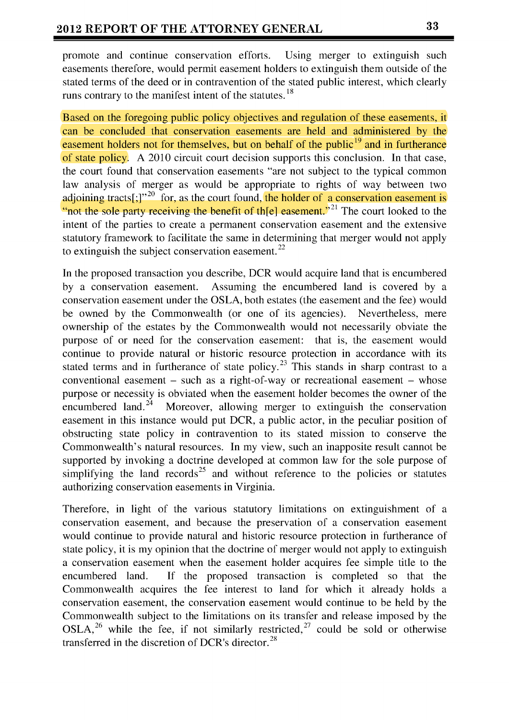promote and continue conservation efforts. Using merger to extinguish such easements therefore, would permit easement holders to extinguish them outside of the stated terms of the deed or in contravention of the stated public interest, which clearly runs contrary to the manifest intent of the statutes. **18**

Based on the foregoing public policy objectives and regulation of these easements, it can be concluded that conservation easements are held and administered by the easement holders not for themselves, but on behalf of the public<sup>19</sup> and in furtherance of state policy. A 2010 circuit court decision supports this conclusion. In that case, the court found that conservation easements "are not subject to the typical common law analysis of merger as would be appropriate to rights of way between two adjoining tracts[;]"<sup>20</sup> for, as the court found, the holder of a conservation easement is "not the sole party receiving the benefit of the easement."<sup>21</sup> The court looked to the intent of the parties to create a permanent conservation easement and the extensive statutory framework to facilitate the same in determining that merger would not apply to extinguish the subject conservation easement. $^{22}$ 

In the proposed transaction you describe, DCR would acquire land that is encumbered by a conservation easement. Assuming the encumbered land is covered by a conservation easement under the OSLA, both estates (the easement and the fee) would be owned by the Commonwealth (or one of its agencies). Nevertheless, mere ownership of the estates by the Commonwealth would not necessarily obviate the purpose of or need for the conservation easement: that is, the easement would continue to provide natural or historic resource protection in accordance with its stated terms and in furtherance of state policy.<sup>23</sup> This stands in sharp contrast to a conventional easement  $-$  such as a right-of-way or recreational easement  $-$  whose purpose or necessity is obviated when the easement holder becomes the owner of the encumbered land.<sup>24</sup> Moreover, allowing merger to extinguish the conservation easement in this instance would put DCR, a public actor, in the peculiar position of obstructing state policy in contravention to its stated mission to conserve the Commonwealth's natural resources. In my view, such an inapposite result cannot be supported by invoking a doctrine developed at common law for the sole purpose of simplifying the land records<sup>25</sup> and without reference to the policies or statutes authorizing conservation easements in Virginia.

Therefore, in light of the various statutory limitations on extinguishment of a conservation easement, and because the preservation of a conservation easement would continue to provide natural and historic resource protection in furtherance of state policy, it is my opinion that the doctrine of merger would not apply to extinguish a conservation easement when the easement holder acquires fee simple title to the encumbered land. If the proposed transaction is completed so that the Commonwealth acquires the fee interest to land for which it already holds a conservation easement, the conservation easement would continue to be held by the Commonwealth subject to the limitations on its transfer and release imposed by the  $OSLA<sup>26</sup>$  while the fee, if not similarly restricted,<sup>27</sup> could be sold or otherwise transferred in the discretion of DCR's director.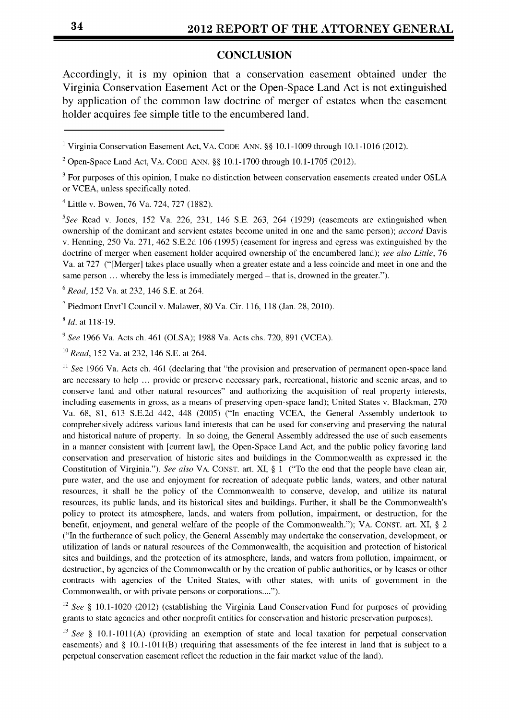#### **CONCLUSION**

Accordingly, it is my opinion that a conservation easement obtained under the Virginia Conservation Easement Act or the Open-Space Land Act is not extinguished by application of the common law doctrine of merger of estates when the easement holder acquires fee simple title to the encumbered land.

4 Little v. Bowen, 76 Va. 724, 727 (1882).

<sup>5</sup>See Read v. Jones, 152 Va. 226, 231, 146 S.E. 263, 264 (1929) (easements are extinguished when ownership of the dominant and servient estates become united in one and the same person); *accord* Davis v. Henning, 250 Va. 271, 462 S.E.2d 106 (1995) (easement for ingress and egress was extinguished by the doctrine of merger when easement holder acquired ownership of the encumbered land); *see also Little,* 76 Va. at 727 ("[Merger] takes place usually when a greater estate and a less coincide and meet in one and the same person ... whereby the less is immediately merged – that is, drowned in the greater.").

*6 Read,* 152 Va. at 232, 146 S.E. at 264.

**7** Piedmont Envt'l Council v. Malawer, 80 Va. Cir. 116, 118 (Jan. 28, 2010).

*8 Id.* at 118-19.

*9 See* 1966 Va. Acts ch. 461 (OLSA); 1988 Va. Acts chs. 720, 891 (VCEA).

*<sup>10</sup>Read,* 152 Va. at 232, 146 S.E. at 264.

<sup>11</sup> *See* 1966 Va. Acts ch. 461 (declaring that "the provision and preservation of permanent open-space land are necessary to help ... provide or preserve necessary park, recreational, historic and scenic areas, and to conserve land and other natural resources" and authorizing the acquisition of real property interests, including easements in gross, as a means of preserving open-space land); United States v. Blackman, 270 Va. 68, 81, 613 S.E.2d 442, 448 (2005) ("In enacting VCEA, the General Assembly undertook to comprehensively address various land interests that can be used for conserving and preserving the natural and historical nature of property. In so doing, the General Assembly addressed the use of such easements in a manner consistent with [current law], the Open-Space Land Act, and the public policy favoring land conservation and preservation of historic sites and buildings in the Commonwealth as expressed in the Constitution of Virginia."). *See also* VA. CONST. art. XI, **§** 1 ("To the end that the people have clean air, pure water, and the use and enjoyment for recreation of adequate public lands, waters, and other natural resources, it shall be the policy of the Commonwealth to conserve, develop, and utilize its natural resources, its public lands, and its historical sites and buildings. Further, it shall be the Commonwealth's policy to protect its atmosphere, lands, and waters from pollution, impairment, or destruction, for the benefit, enjoyment, and general welfare of the people of the Commonwealth."); VA. CONST. art. XI, **§** 2 ("In the furtherance of such policy, the General Assembly may undertake the conservation, development, or utilization of lands or natural resources of the Commonwealth, the acquisition and protection of historical sites and buildings, and the protection of its atmosphere, lands, and waters from pollution, impairment, or destruction, by agencies of the Commonwealth or by the creation of public authorities, or by leases or other contracts with agencies of the United States, with other states, with units of government in the Commonwealth, or with private persons or corporations....").

12 *See §* 10.1-1020 (2012) (establishing the Virginia Land Conservation Fund for purposes of providing grants to state agencies and other nonprofit entities for conservation and historic preservation purposes).

*<sup>13</sup>See §* 10.1-1011(A) (providing an exemption of state and local taxation for perpetual conservation easements) and **§** 10.1-1011(B) (requiring that assessments of the fee interest in land that is subject to a perpetual conservation easement reflect the reduction in the fair market value of the land).

<sup>1</sup> Virginia Conservation Easement Act, VA. CODE ANN. **§§** 10.1-1009 through 10.1-1016 (2012).

<sup>2</sup>Open-Space Land Act, VA. CODE ANN. **§§** 10.1-1700 through 10.1-1705 (2012).

<sup>&</sup>lt;sup>3</sup> For purposes of this opinion, I make no distinction between conservation easements created under OSLA or VCEA, unless specifically noted.